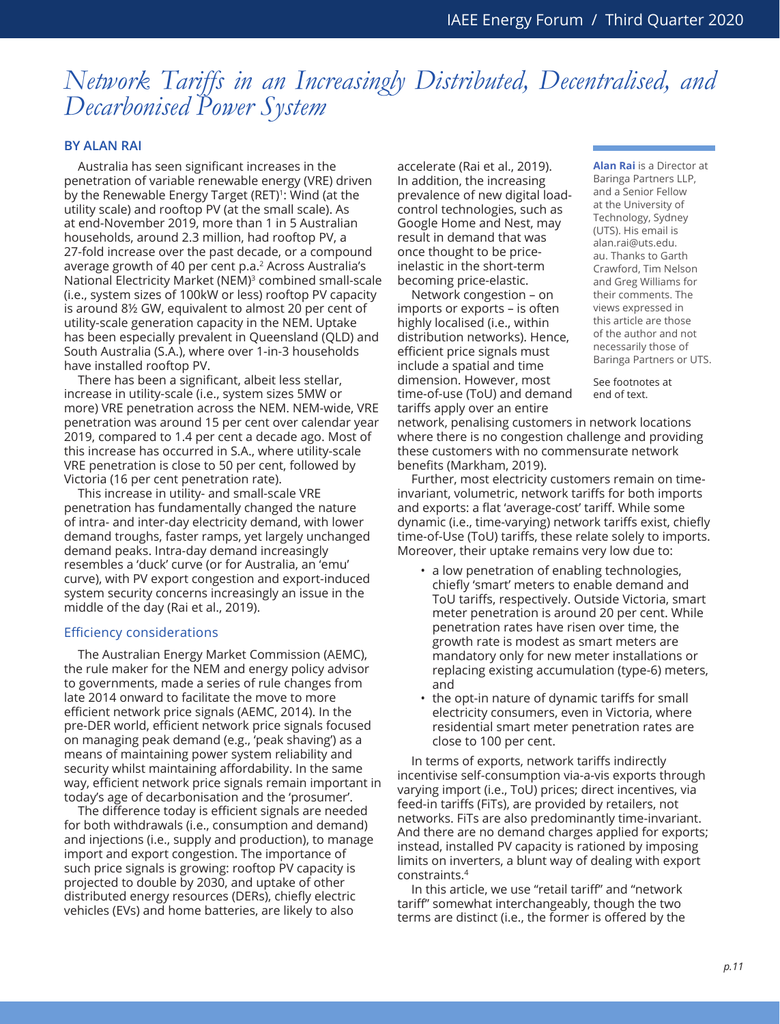# *Network Tariffs in an Increasingly Distributed, Decentralised, and Decarbonised Power System*

## **BY ALAN RAI**

Australia has seen significant increases in the penetration of variable renewable energy (VRE) driven by the Renewable Energy Target (RET)<sup>1</sup>: Wind (at the utility scale) and rooftop PV (at the small scale). As at end-November 2019, more than 1 in 5 Australian households, around 2.3 million, had rooftop PV, a 27-fold increase over the past decade, or a compound average growth of 40 per cent p.a.2 Across Australia's National Electricity Market (NEM)<sup>3</sup> combined small-scale (i.e., system sizes of 100kW or less) rooftop PV capacity is around 8½ GW, equivalent to almost 20 per cent of utility-scale generation capacity in the NEM. Uptake has been especially prevalent in Queensland (QLD) and South Australia (S.A.), where over 1-in-3 households have installed rooftop PV.

There has been a significant, albeit less stellar, increase in utility-scale (i.e., system sizes 5MW or more) VRE penetration across the NEM. NEM-wide, VRE penetration was around 15 per cent over calendar year 2019, compared to 1.4 per cent a decade ago. Most of this increase has occurred in S.A., where utility-scale VRE penetration is close to 50 per cent, followed by Victoria (16 per cent penetration rate).

This increase in utility- and small-scale VRE penetration has fundamentally changed the nature of intra- and inter-day electricity demand, with lower demand troughs, faster ramps, yet largely unchanged demand peaks. Intra-day demand increasingly resembles a 'duck' curve (or for Australia, an 'emu' curve), with PV export congestion and export-induced system security concerns increasingly an issue in the middle of the day (Rai et al., 2019).

#### Efficiency considerations

The Australian Energy Market Commission (AEMC), the rule maker for the NEM and energy policy advisor to governments, made a series of rule changes from late 2014 onward to facilitate the move to more efficient network price signals (AEMC, 2014). In the pre-DER world, efficient network price signals focused on managing peak demand (e.g., 'peak shaving') as a means of maintaining power system reliability and security whilst maintaining affordability. In the same way, efficient network price signals remain important in today's age of decarbonisation and the 'prosumer'.

The difference today is efficient signals are needed for both withdrawals (i.e., consumption and demand) and injections (i.e., supply and production), to manage import and export congestion. The importance of such price signals is growing: rooftop PV capacity is projected to double by 2030, and uptake of other distributed energy resources (DERs), chiefly electric vehicles (EVs) and home batteries, are likely to also

accelerate (Rai et al., 2019). In addition, the increasing prevalence of new digital loadcontrol technologies, such as Google Home and Nest, may result in demand that was once thought to be priceinelastic in the short-term becoming price-elastic.

Network congestion – on imports or exports – is often highly localised (i.e., within distribution networks). Hence, efficient price signals must include a spatial and time dimension. However, most time-of-use (ToU) and demand tariffs apply over an entire

**Alan Rai** is a Director at Baringa Partners LLP, and a Senior Fellow at the University of Technology, Sydney (UTS). His email is alan.rai@uts.edu. au. Thanks to Garth Crawford, Tim Nelson and Greg Williams for their comments. The views expressed in this article are those of the author and not necessarily those of Baringa Partners or UTS.

See footnotes at end of text.

network, penalising customers in network locations where there is no congestion challenge and providing these customers with no commensurate network benefits (Markham, 2019).

Further, most electricity customers remain on timeinvariant, volumetric, network tariffs for both imports and exports: a flat 'average-cost' tariff. While some dynamic (i.e., time-varying) network tariffs exist, chiefly time-of-Use (ToU) tariffs, these relate solely to imports. Moreover, their uptake remains very low due to:

- a low penetration of enabling technologies, chiefly 'smart' meters to enable demand and ToU tariffs, respectively. Outside Victoria, smart meter penetration is around 20 per cent. While penetration rates have risen over time, the growth rate is modest as smart meters are mandatory only for new meter installations or replacing existing accumulation (type-6) meters, and
- the opt-in nature of dynamic tariffs for small electricity consumers, even in Victoria, where residential smart meter penetration rates are close to 100 per cent.

In terms of exports, network tariffs indirectly incentivise self-consumption via-a-vis exports through varying import (i.e., ToU) prices; direct incentives, via feed-in tariffs (FiTs), are provided by retailers, not networks. FiTs are also predominantly time-invariant. And there are no demand charges applied for exports; instead, installed PV capacity is rationed by imposing limits on inverters, a blunt way of dealing with export constraints.4

In this article, we use "retail tariff" and "network tariff" somewhat interchangeably, though the two terms are distinct (i.e., the former is offered by the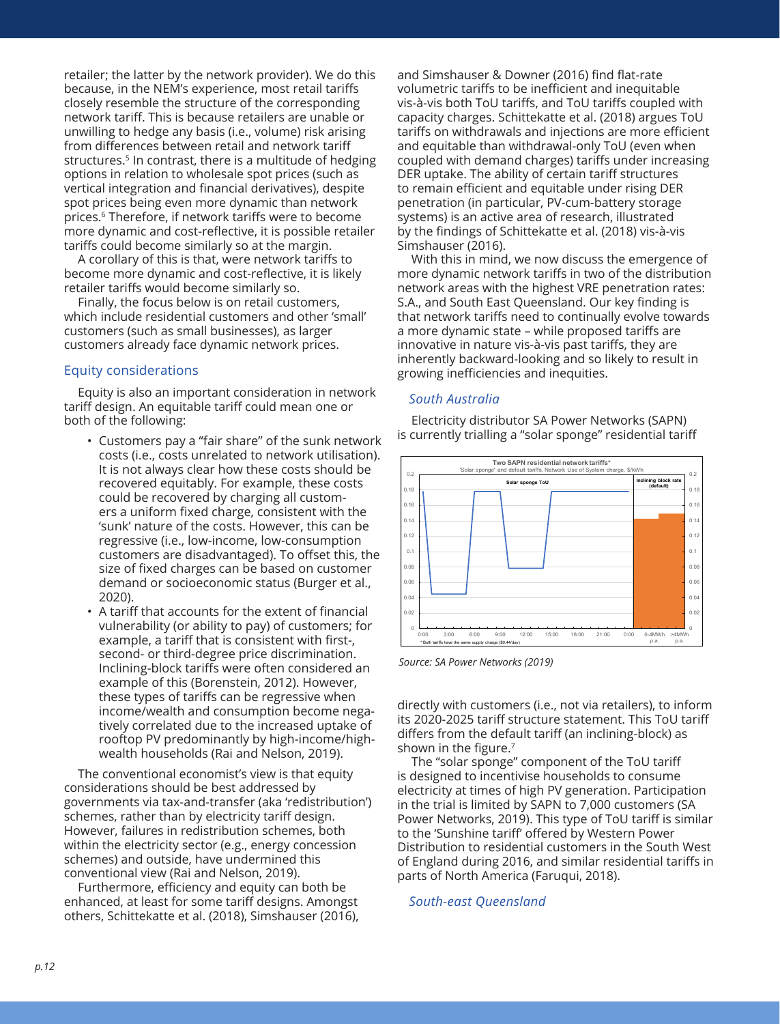retailer; the latter by the network provider). We do this because, in the NEM's experience, most retail tariffs closely resemble the structure of the corresponding network tariff. This is because retailers are unable or unwilling to hedge any basis (i.e., volume) risk arising from differences between retail and network tariff structures.<sup>5</sup> In contrast, there is a multitude of hedging options in relation to wholesale spot prices (such as vertical integration and financial derivatives), despite spot prices being even more dynamic than network prices.6 Therefore, if network tariffs were to become more dynamic and cost-reflective, it is possible retailer tariffs could become similarly so at the margin.

A corollary of this is that, were network tariffs to become more dynamic and cost-reflective, it is likely retailer tariffs would become similarly so.

Finally, the focus below is on retail customers, which include residential customers and other 'small' customers (such as small businesses), as larger customers already face dynamic network prices.

# Equity considerations

Equity is also an important consideration in network tariff design. An equitable tariff could mean one or both of the following:

- Customers pay a "fair share" of the sunk network costs (i.e., costs unrelated to network utilisation). It is not always clear how these costs should be recovered equitably. For example, these costs could be recovered by charging all customers a uniform fixed charge, consistent with the 'sunk' nature of the costs. However, this can be regressive (i.e., low-income, low-consumption customers are disadvantaged). To offset this, the size of fixed charges can be based on customer demand or socioeconomic status (Burger et al., 2020).
- A tariff that accounts for the extent of financial vulnerability (or ability to pay) of customers; for example, a tariff that is consistent with first-, second- or third-degree price discrimination. Inclining-block tariffs were often considered an example of this (Borenstein, 2012). However, these types of tariffs can be regressive when income/wealth and consumption become negatively correlated due to the increased uptake of rooftop PV predominantly by high-income/highwealth households (Rai and Nelson, 2019).

The conventional economist's view is that equity considerations should be best addressed by governments via tax-and-transfer (aka 'redistribution') schemes, rather than by electricity tariff design. However, failures in redistribution schemes, both within the electricity sector (e.g., energy concession schemes) and outside, have undermined this conventional view (Rai and Nelson, 2019).

Furthermore, efficiency and equity can both be enhanced, at least for some tariff designs. Amongst others, Schittekatte et al. (2018), Simshauser (2016),

and Simshauser & Downer (2016) find flat-rate volumetric tariffs to be inefficient and inequitable vis-à-vis both ToU tariffs, and ToU tariffs coupled with capacity charges. Schittekatte et al. (2018) argues ToU tariffs on withdrawals and injections are more efficient and equitable than withdrawal-only ToU (even when coupled with demand charges) tariffs under increasing DER uptake. The ability of certain tariff structures to remain efficient and equitable under rising DER penetration (in particular, PV-cum-battery storage systems) is an active area of research, illustrated by the findings of Schittekatte et al. (2018) vis-à-vis Simshauser (2016).

With this in mind, we now discuss the emergence of more dynamic network tariffs in two of the distribution network areas with the highest VRE penetration rates: S.A., and South East Queensland. Our key finding is that network tariffs need to continually evolve towards a more dynamic state – while proposed tariffs are innovative in nature vis-à-vis past tariffs, they are inherently backward-looking and so likely to result in growing inefficiencies and inequities.

#### *South Australia*

Electricity distributor SA Power Networks (SAPN) is currently trialling a "solar sponge" residential tariff



*Source: SA Power Networks (2019)*

directly with customers (i.e., not via retailers), to inform its 2020-2025 tariff structure statement. This ToU tariff differs from the default tariff (an inclining-block) as shown in the figure.<sup>7</sup>

The "solar sponge" component of the ToU tariff is designed to incentivise households to consume electricity at times of high PV generation. Participation in the trial is limited by SAPN to 7,000 customers (SA Power Networks, 2019). This type of ToU tariff is similar to the 'Sunshine tariff' offered by Western Power Distribution to residential customers in the South West of England during 2016, and similar residential tariffs in parts of North America (Faruqui, 2018).

#### *South-east Queensland*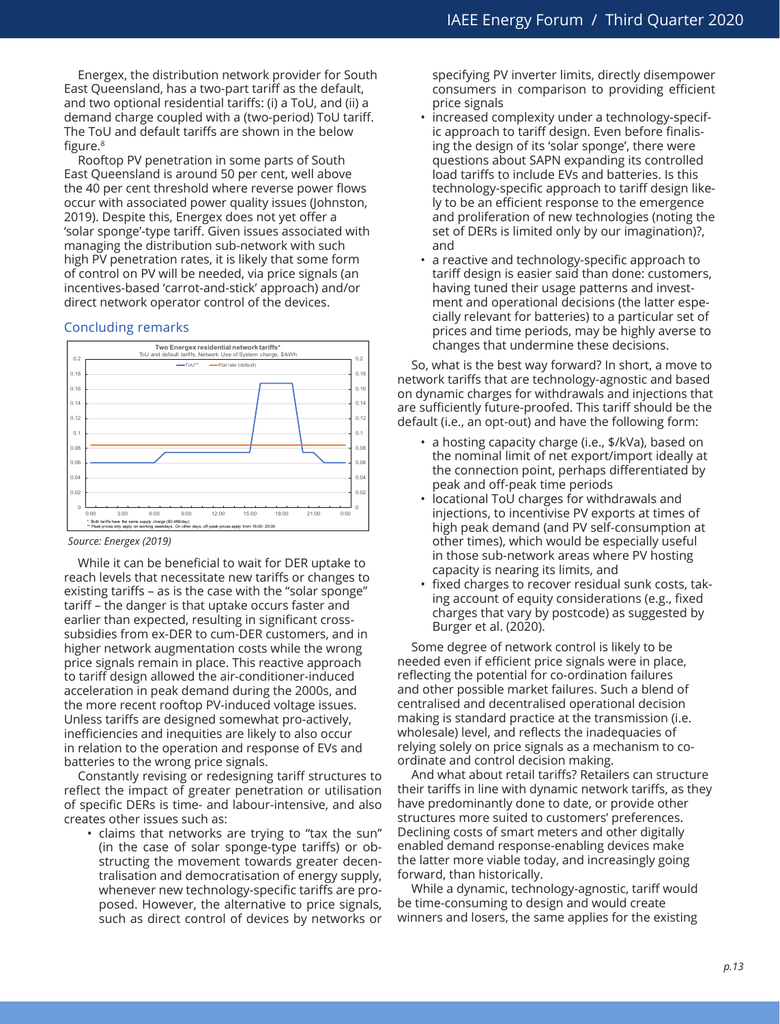Energex, the distribution network provider for South East Queensland, has a two-part tariff as the default, and two optional residential tariffs: (i) a ToU, and (ii) a demand charge coupled with a (two-period) ToU tariff. The ToU and default tariffs are shown in the below figure.<sup>8</sup>

Rooftop PV penetration in some parts of South East Queensland is around 50 per cent, well above the 40 per cent threshold where reverse power flows occur with associated power quality issues (Johnston, 2019). Despite this, Energex does not yet offer a 'solar sponge'-type tariff. Given issues associated with managing the distribution sub-network with such high PV penetration rates, it is likely that some form of control on PV will be needed, via price signals (an incentives-based 'carrot-and-stick' approach) and/or direct network operator control of the devices.

#### Concluding remarks



*Source: Energex (2019)*

While it can be beneficial to wait for DER uptake to reach levels that necessitate new tariffs or changes to existing tariffs – as is the case with the "solar sponge" tariff – the danger is that uptake occurs faster and earlier than expected, resulting in significant crosssubsidies from ex-DER to cum-DER customers, and in higher network augmentation costs while the wrong price signals remain in place. This reactive approach to tariff design allowed the air-conditioner-induced acceleration in peak demand during the 2000s, and the more recent rooftop PV-induced voltage issues. Unless tariffs are designed somewhat pro-actively, inefficiencies and inequities are likely to also occur in relation to the operation and response of EVs and batteries to the wrong price signals.

Constantly revising or redesigning tariff structures to reflect the impact of greater penetration or utilisation of specific DERs is time- and labour-intensive, and also creates other issues such as:

• claims that networks are trying to "tax the sun" (in the case of solar sponge-type tariffs) or obstructing the movement towards greater decentralisation and democratisation of energy supply, whenever new technology-specific tariffs are proposed. However, the alternative to price signals, such as direct control of devices by networks or specifying PV inverter limits, directly disempower consumers in comparison to providing efficient price signals

- increased complexity under a technology-specific approach to tariff design. Even before finalising the design of its 'solar sponge', there were questions about SAPN expanding its controlled load tariffs to include EVs and batteries. Is this technology-specific approach to tariff design likely to be an efficient response to the emergence and proliferation of new technologies (noting the set of DERs is limited only by our imagination)?, and
- a reactive and technology-specific approach to tariff design is easier said than done: customers, having tuned their usage patterns and investment and operational decisions (the latter especially relevant for batteries) to a particular set of prices and time periods, may be highly averse to changes that undermine these decisions.

So, what is the best way forward? In short, a move to network tariffs that are technology-agnostic and based on dynamic charges for withdrawals and injections that are sufficiently future-proofed. This tariff should be the default (i.e., an opt-out) and have the following form:

- a hosting capacity charge (i.e., \$/kVa), based on the nominal limit of net export/import ideally at the connection point, perhaps differentiated by peak and off-peak time periods
- locational ToU charges for withdrawals and injections, to incentivise PV exports at times of high peak demand (and PV self-consumption at other times), which would be especially useful in those sub-network areas where PV hosting capacity is nearing its limits, and
- fixed charges to recover residual sunk costs, taking account of equity considerations (e.g., fixed charges that vary by postcode) as suggested by Burger et al. (2020).

Some degree of network control is likely to be needed even if efficient price signals were in place, reflecting the potential for co-ordination failures and other possible market failures. Such a blend of centralised and decentralised operational decision making is standard practice at the transmission (i.e. wholesale) level, and reflects the inadequacies of relying solely on price signals as a mechanism to coordinate and control decision making.

And what about retail tariffs? Retailers can structure their tariffs in line with dynamic network tariffs, as they have predominantly done to date, or provide other structures more suited to customers' preferences. Declining costs of smart meters and other digitally enabled demand response-enabling devices make the latter more viable today, and increasingly going forward, than historically.

While a dynamic, technology-agnostic, tariff would be time-consuming to design and would create winners and losers, the same applies for the existing